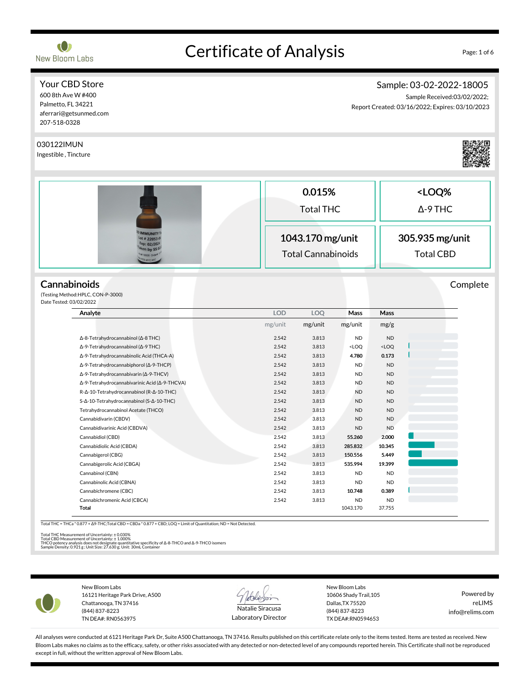

# Certificate of Analysis Page: 1 of 6

#### Your CBD Store 600 8th Ave W #400

Palmetto, FL 34221 aferrari@getsunmed.com 207-518-0328

# Sample: 03-02-2022-18005

Sample Received:03/02/2022; Report Created: 03/16/2022; Expires: 03/10/2023

| 030122IMUN<br>Ingestible, Tincture                                               |            |                                                                   |                                                                    |           |                                                        |          |
|----------------------------------------------------------------------------------|------------|-------------------------------------------------------------------|--------------------------------------------------------------------|-----------|--------------------------------------------------------|----------|
|                                                                                  |            | 0.015%                                                            |                                                                    |           | <loq%< td=""><td></td></loq%<>                         |          |
|                                                                                  |            |                                                                   |                                                                    |           |                                                        |          |
|                                                                                  |            | <b>Total THC</b><br>1043.170 mg/unit<br><b>Total Cannabinoids</b> |                                                                    |           | $\Delta$ -9 THC<br>305.935 mg/unit<br><b>Total CBD</b> |          |
| <b>IMMUNITY</b><br>ot # 22053-<br>×p: 02/202<br>en by SS 0<br>18005 Org<br>MYC.M |            |                                                                   |                                                                    |           |                                                        |          |
| Cannabinoids<br>(Testing Method: HPLC, CON-P-3000)<br>Date Tested: 03/02/2022    |            |                                                                   |                                                                    |           |                                                        | Complete |
| Analyte                                                                          | <b>LOD</b> | <b>LOQ</b>                                                        | Mass                                                               | Mass      |                                                        |          |
|                                                                                  | mg/unit    | mg/unit                                                           | mg/unit                                                            | mg/g      |                                                        |          |
| Δ-8-Tetrahydrocannabinol (Δ-8 THC)                                               | 2.542      | 3.813                                                             | <b>ND</b>                                                          | <b>ND</b> |                                                        |          |
| Δ-9-Tetrahydrocannabinol (Δ-9 THC)                                               | 2.542      | 3.813                                                             | <loq< td=""><td><math>&lt;</math>LOQ</td><td></td><td></td></loq<> | $<$ LOQ   |                                                        |          |
| Δ-9-Tetrahydrocannabinolic Acid (THCA-A)                                         | 2.542      | 3.813                                                             | 4.780                                                              | 0.173     |                                                        |          |
| Δ-9-Tetrahydrocannabiphorol (Δ-9-THCP)                                           | 2.542      | 3.813                                                             | <b>ND</b>                                                          | <b>ND</b> |                                                        |          |
| Δ-9-Tetrahydrocannabivarin (Δ-9-THCV)                                            | 2.542      | 3.813                                                             | <b>ND</b>                                                          | <b>ND</b> |                                                        |          |
| Δ-9-Tetrahydrocannabivarinic Acid (Δ-9-THCVA)                                    | 2.542      | 3.813                                                             | <b>ND</b>                                                          | <b>ND</b> |                                                        |          |
| R-Δ-10-Tetrahydrocannabinol (R-Δ-10-THC)                                         |            |                                                                   |                                                                    |           |                                                        |          |
|                                                                                  | 2.542      | 3.813                                                             | <b>ND</b>                                                          | <b>ND</b> |                                                        |          |
| S-Δ-10-Tetrahydrocannabinol (S-Δ-10-THC)                                         | 2.542      | 3.813                                                             | <b>ND</b>                                                          | <b>ND</b> |                                                        |          |
| Tetrahydrocannabinol Acetate (THCO)                                              | 2.542      | 3.813                                                             | <b>ND</b>                                                          | <b>ND</b> |                                                        |          |
| Cannabidivarin (CBDV)                                                            | 2.542      | 3.813                                                             | <b>ND</b>                                                          | <b>ND</b> |                                                        |          |
| Cannabidivarinic Acid (CBDVA)                                                    | 2.542      | 3.813                                                             | ND                                                                 | <b>ND</b> |                                                        |          |
| Cannabidiol (CBD)                                                                | 2.542      | 3.813                                                             | 55.260                                                             | 2.000     |                                                        |          |
| Cannabidiolic Acid (CBDA)                                                        | 2.542      | 3.813                                                             | 285.832                                                            | 10.345    |                                                        |          |
| Cannabigerol (CBG)                                                               | 2.542      | 3.813                                                             | 150.556                                                            | 5.449     |                                                        |          |
| Cannabigerolic Acid (CBGA)                                                       | 2.542      | 3.813                                                             | 535.994                                                            | 19.399    |                                                        |          |
| Cannabinol (CBN)                                                                 | 2.542      | 3.813                                                             | <b>ND</b>                                                          | <b>ND</b> |                                                        |          |
| Cannabinolic Acid (CBNA)                                                         | 2.542      | 3.813                                                             | <b>ND</b>                                                          | <b>ND</b> |                                                        |          |
| Cannabichromene (CBC)                                                            | 2.542      | 3.813                                                             | 10.748                                                             | 0.389     |                                                        |          |
| Cannabichromenic Acid (CBCA)                                                     | 2.542      | 3.813                                                             | <b>ND</b>                                                          | <b>ND</b> |                                                        |          |

Total THC Measurement of Uncertainty: ± 0.030%<br>Total CBD Measurement of Uncertainty: ± 1.000%<br>THCO potency analysis does not designate quantitative specificity of Δ-8-THCO and Δ-9-THCO isomers<br>Sample Density: 0.921 g ; Un

New Bloom Labs 16121 Heritage Park Drive, A500 Chattanooga, TN 37416 (844) 837-8223 TN DEA#: RN0563975



Laboratory Director

New Bloom Labs 10606 Shady Trail,105 Dallas,TX 75520 (844) 837-8223 TX DEA#:RN0594653

Powered by reLIMS info@relims.com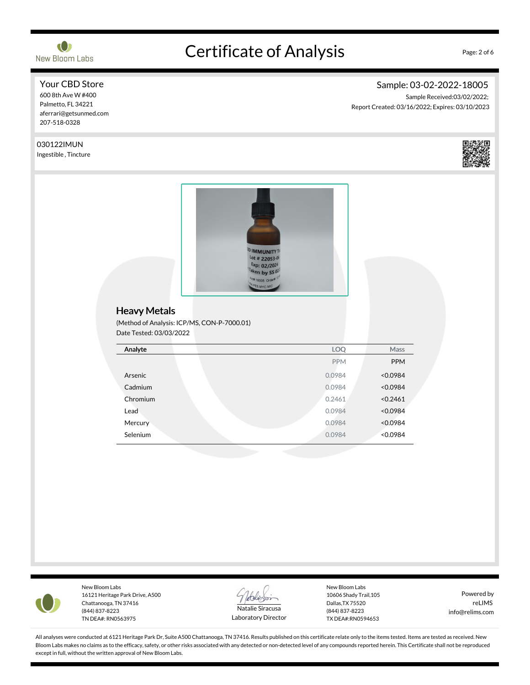

Your CBD Store 600 8th Ave W #400 Palmetto, FL 34221

# Certificate of Analysis Page: 2 of 6

# Sample: 03-02-2022-18005

Sample Received:03/02/2022; Report Created: 03/16/2022; Expires: 03/10/2023





New Bloom Labs 16121 Heritage Park Drive, A500 Chattanooga, TN 37416 (844) 837-8223 TN DEA#: RN0563975



Laboratory Director

New Bloom Labs 10606 Shady Trail,105 Dallas,TX 75520 (844) 837-8223 TX DEA#:RN0594653

Powered by reLIMS info@relims.com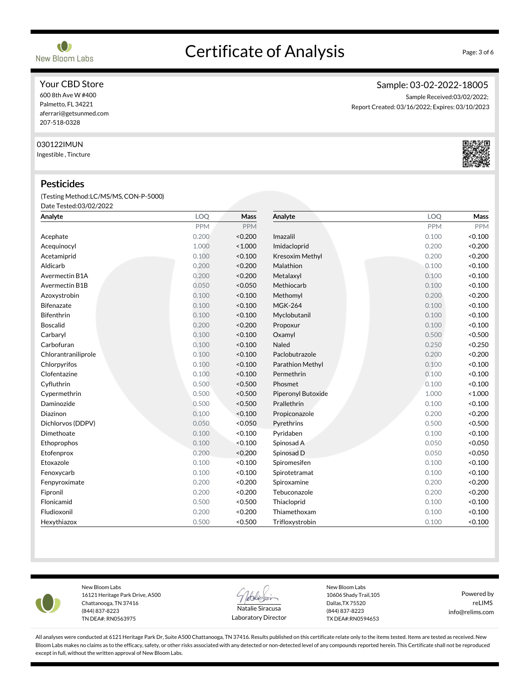Your CBD Store 600 8th Ave W #400

Palmetto, FL 34221 aferrari@getsunmed.com 207-518-0328

#### 030122IMUN

Ingestible, Tincture

#### Pesticides

(Testing Method:LC/MS/MS,CON-P-5000) Date Tested:03/02/2022

| Analyte             | LOQ        | Mass       | Analyte            | LOQ        | <b>Mass</b> |
|---------------------|------------|------------|--------------------|------------|-------------|
|                     | <b>PPM</b> | <b>PPM</b> |                    | <b>PPM</b> | <b>PPM</b>  |
| Acephate            | 0.200      | < 0.200    | Imazalil           | 0.100      | < 0.100     |
| Acequinocyl         | 1.000      | < 1.000    | Imidacloprid       | 0.200      | < 0.200     |
| Acetamiprid         | 0.100      | < 0.100    | Kresoxim Methyl    | 0.200      | < 0.200     |
| Aldicarb            | 0.200      | < 0.200    | Malathion          | 0.100      | < 0.100     |
| Avermectin B1A      | 0.200      | < 0.200    | Metalaxyl          | 0.100      | < 0.100     |
| Avermectin B1B      | 0.050      | < 0.050    | Methiocarb         | 0.100      | < 0.100     |
| Azoxystrobin        | 0.100      | < 0.100    | Methomyl           | 0.200      | < 0.200     |
| <b>Bifenazate</b>   | 0.100      | < 0.100    | <b>MGK-264</b>     | 0.100      | < 0.100     |
| <b>Bifenthrin</b>   | 0.100      | < 0.100    | Myclobutanil       | 0.100      | < 0.100     |
| <b>Boscalid</b>     | 0.200      | < 0.200    | Propoxur           | 0.100      | < 0.100     |
| Carbaryl            | 0.100      | < 0.100    | Oxamyl             | 0.500      | < 0.500     |
| Carbofuran          | 0.100      | < 0.100    | Naled              | 0.250      | < 0.250     |
| Chlorantraniliprole | 0.100      | < 0.100    | Paclobutrazole     | 0.200      | < 0.200     |
| Chlorpyrifos        | 0.100      | < 0.100    | Parathion Methyl   | 0.100      | < 0.100     |
| Clofentazine        | 0.100      | < 0.100    | Permethrin         | 0.100      | < 0.100     |
| Cyfluthrin          | 0.500      | < 0.500    | Phosmet            | 0.100      | < 0.100     |
| Cypermethrin        | 0.500      | < 0.500    | Piperonyl Butoxide | 1.000      | < 1.000     |
| Daminozide          | 0.500      | < 0.500    | Prallethrin        | 0.100      | < 0.100     |
| Diazinon            | 0.100      | < 0.100    | Propiconazole      | 0.200      | < 0.200     |
| Dichlorvos (DDPV)   | 0.050      | < 0.050    | Pyrethrins         | 0.500      | < 0.500     |
| Dimethoate          | 0.100      | < 0.100    | Pyridaben          | 0.100      | < 0.100     |
| Ethoprophos         | 0.100      | < 0.100    | Spinosad A         | 0.050      | < 0.050     |
| Etofenprox          | 0.200      | < 0.200    | Spinosad D         | 0.050      | < 0.050     |
| Etoxazole           | 0.100      | < 0.100    | Spiromesifen       | 0.100      | < 0.100     |
| Fenoxycarb          | 0.100      | < 0.100    | Spirotetramat      | 0.100      | < 0.100     |
| Fenpyroximate       | 0.200      | < 0.200    | Spiroxamine        | 0.200      | < 0.200     |
| Fipronil            | 0.200      | < 0.200    | Tebuconazole       | 0.200      | < 0.200     |
| Flonicamid          | 0.500      | < 0.500    | Thiacloprid        | 0.100      | < 0.100     |
| Fludioxonil         | 0.200      | < 0.200    | Thiamethoxam       | 0.100      | < 0.100     |
| Hexythiazox         | 0.500      | < 0.500    | Trifloxystrobin    | 0.100      | < 0.100     |



New Bloom Labs 16121 Heritage Park Drive, A500 Chattanooga, TN 37416 (844) 837-8223 TN DEA#: RN0563975



Laboratory Director

New Bloom Labs 10606 Shady Trail,105 Dallas,TX 75520 (844) 837-8223 TX DEA#:RN0594653

Powered by reLIMS info@relims.com

All analyses were conducted at 6121 Heritage Park Dr, Suite A500 Chattanooga, TN 37416. Results published on this certificate relate only to the items tested. Items are tested as received. New Bloom Labs makes no claims as to the efficacy, safety, or other risks associated with any detected or non-detected level of any compounds reported herein. This Certificate shall not be reproduced except in full, without the written approval of New Bloom Labs.

# Certificate of Analysis Page: 3 of 6



# Sample: 03-02-2022-18005

Sample Received:03/02/2022; Report Created: 03/16/2022; Expires: 03/10/2023

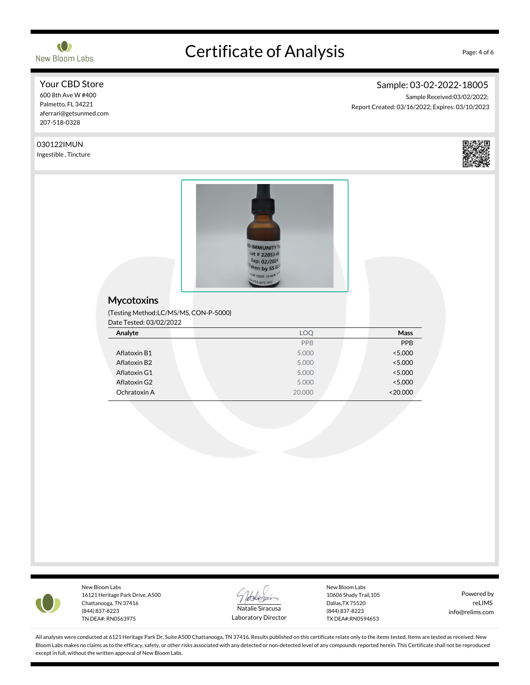

# Certificate of Analysis Page: 4 of 6

# Sample: 03-02-2022-18005

Sample Received:03/02/2022; Report Created: 03/16/2022; Expires: 03/10/2023

Your CBD Store 600 8th Ave W #400 Palmetto, FL 34221 aferrari@getsunmed.com 207-518-0328

### 030122IMUN

Ingestible, Tincture



#### **Mycotoxins**

(Testing Method:LC/MS/MS,CON-P-5000)  $C_{\text{total}}$   $\Omega$   $(02/02/202)$ 

| Dale Tested: US/UZ/ZUZZ |        |          |
|-------------------------|--------|----------|
| Analyte                 | LOQ    | Mass     |
|                         | PPB    | PPB      |
| Aflatoxin B1            | 5.000  | < 5.000  |
| Aflatoxin B2            | 5.000  | < 5.000  |
| Aflatoxin G1            | 5.000  | < 5.000  |
| Aflatoxin G2            | 5.000  | < 5.000  |
| Ochratoxin A            | 20,000 | < 20.000 |



New Bloom Labs 16121 Heritage Park Drive, A500 Chattanooga, TN 37416 (844) 837-8223 TN DEA#: RN0563975



Laboratory Director

New Bloom Labs 10606 Shady Trail,105 Dallas,TX 75520 (844) 837-8223 TX DEA#:RN0594653

Powered by reLIMS info@relims.com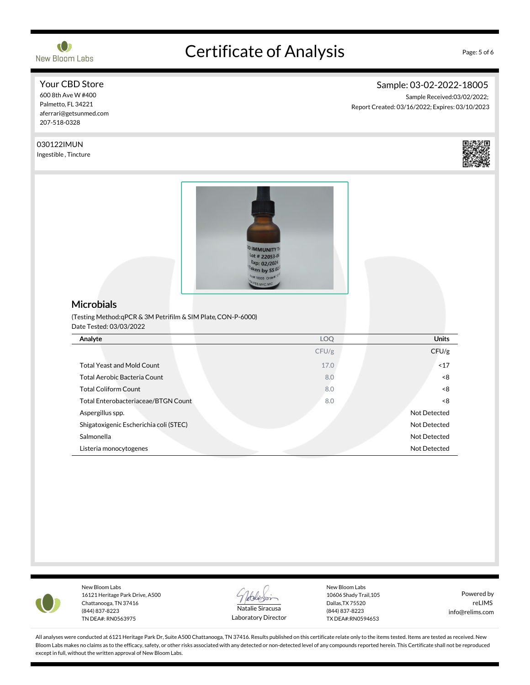

Your CBD Store 600 8th Ave W #400 Palmetto, FL 34221 aferrari@getsunmed.com 207-518-0328

# Certificate of Analysis Page: 5 of 6

# Sample: 03-02-2022-18005

Sample Received:03/02/2022; Report Created: 03/16/2022; Expires: 03/10/2023

030122IMUN Ingestible, Tincture **IMMUNITY** ot # 22053-0 xp: 02/202 en by SS **Microbials** (Testing Method:qPCR & 3M Petrifilm & SIM Plate,CON-P-6000) Date Tested: 03/03/2022 Analyte LOQ Units CFU/g CFU/g Total Yeast and Mold Count **17.0** and 17.0 **and 17.0** and 17.0 **and 17.0** and 17.0 **and 17.0** and 17.0 **and 17.0** Total Aerobic Bacteria Count 600 million control of the state of the state of the state of the state of the state of the state of the state of the state of the state of the state of the state of the state of the state of t Total Coliform Count 6.0 and 200 km s and 200 km s and 200 km s and 200 km s and 3.0 and 3.0 and 3.0 and 3.0 and 3.0 and 3.0 and 3.0 and 3.0 and 3.0 and 3.0 and 3.0 and 3.0 and 3.0 and 3.0 and 3.0 and 3.0 and 3.0 and 3.0 a Total Enterobacteriaceae/BTGN Count 8.0 <8 Aspergillus spp. Not Detected Shigatoxigenic Escherichia coli (STEC) Not Detected Salmonella Not Detected Listeria monocytogenes Not Detected



New Bloom Labs 16121 Heritage Park Drive, A500 Chattanooga, TN 37416 (844) 837-8223 TN DEA#: RN0563975



Laboratory Director

New Bloom Labs 10606 Shady Trail,105 Dallas,TX 75520 (844) 837-8223 TX DEA#:RN0594653

Powered by reLIMS info@relims.com